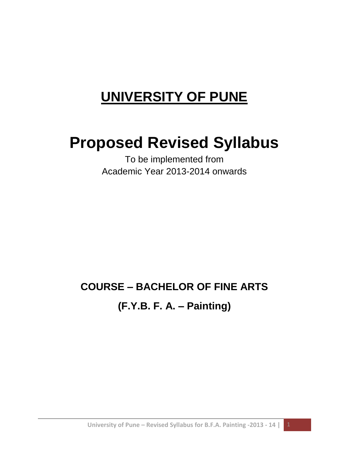# **UNIVERSITY OF PUNE**

# **Proposed Revised Syllabus**

To be implemented from Academic Year 2013-2014 onwards

# **COURSE – BACHELOR OF FINE ARTS (F.Y.B. F. A. – Painting)**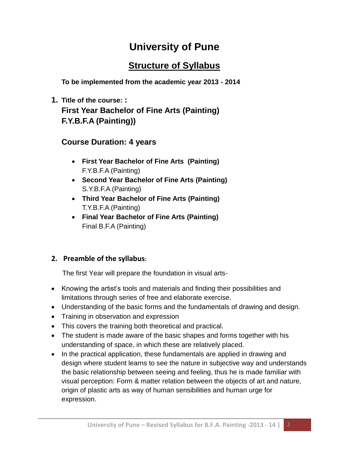# **University of Pune**

# **Structure of Syllabus**

**To be implemented from the academic year 2013 - 2014**

# **1. Title of the course: : First Year Bachelor of Fine Arts (Painting) F.Y.B.F.A (Painting))**

# **Course Duration: 4 years**

- **First Year Bachelor of Fine Arts (Painting)** F.Y.B.F.A (Painting)
- **Second Year Bachelor of Fine Arts (Painting)** S.Y.B.F.A (Painting)
- **Third Year Bachelor of Fine Arts (Painting)** T.Y.B.F.A (Painting)
- **Final Year Bachelor of Fine Arts (Painting)** Final B.F.A (Painting)

# **2. Preamble of the syllabus:**

The first Year will prepare the foundation in visual arts-

- Knowing the artist's tools and materials and finding their possibilities and limitations through series of free and elaborate exercise.
- Understanding of the basic forms and the fundamentals of drawing and design.
- Training in observation and expression
- This covers the training both theoretical and practical.
- The student is made aware of the basic shapes and forms together with his understanding of space, in which these are relatively placed.
- In the practical application, these fundamentals are applied in drawing and design where student learns to see the nature in subjective way and understands the basic relationship between seeing and feeling, thus he is made familiar with visual perception: Form & matter relation between the objects of art and nature, origin of plastic arts as way of human sensibilities and human urge for expression.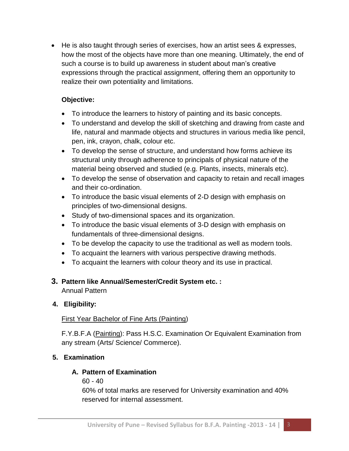He is also taught through series of exercises, how an artist sees & expresses, how the most of the objects have more than one meaning. Ultimately, the end of such a course is to build up awareness in student about man's creative expressions through the practical assignment, offering them an opportunity to realize their own potentiality and limitations.

#### **Objective:**

- To introduce the learners to history of painting and its basic concepts.
- To understand and develop the skill of sketching and drawing from caste and life, natural and manmade objects and structures in various media like pencil, pen, ink, crayon, chalk, colour etc.
- To develop the sense of structure, and understand how forms achieve its structural unity through adherence to principals of physical nature of the material being observed and studied (e.g. Plants, insects, minerals etc).
- To develop the sense of observation and capacity to retain and recall images and their co-ordination.
- To introduce the basic visual elements of 2-D design with emphasis on principles of two-dimensional designs.
- Study of two-dimensional spaces and its organization.
- To introduce the basic visual elements of 3-D design with emphasis on fundamentals of three-dimensional designs.
- To be develop the capacity to use the traditional as well as modern tools.
- To acquaint the learners with various perspective drawing methods.
- To acquaint the learners with colour theory and its use in practical.

# **3. Pattern like Annual/Semester/Credit System etc. :**

Annual Pattern

#### **4. Eligibility:**

# First Year Bachelor of Fine Arts (Painting)

F.Y.B.F.A (Painting): Pass H.S.C. Examination Or Equivalent Examination from any stream (Arts/ Science/ Commerce).

# **5. Examination**

#### **A. Pattern of Examination**

60 - 40

60% of total marks are reserved for University examination and 40% reserved for internal assessment.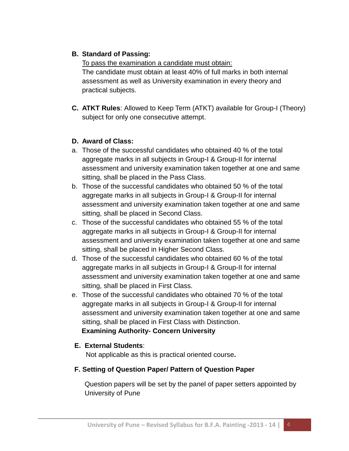# **B. Standard of Passing:**

To pass the examination a candidate must obtain: The candidate must obtain at least 40% of full marks in both internal assessment as well as University examination in every theory and practical subjects.

**C. ATKT Rules**: Allowed to Keep Term (ATKT) available for Group-I (Theory) subject for only one consecutive attempt.

#### **D. Award of Class:**

- a. Those of the successful candidates who obtained 40 % of the total aggregate marks in all subjects in Group-I & Group-II for internal assessment and university examination taken together at one and same sitting, shall be placed in the Pass Class.
- b. Those of the successful candidates who obtained 50 % of the total aggregate marks in all subjects in Group-I & Group-II for internal assessment and university examination taken together at one and same sitting, shall be placed in Second Class.
- c. Those of the successful candidates who obtained 55 % of the total aggregate marks in all subjects in Group-I & Group-II for internal assessment and university examination taken together at one and same sitting, shall be placed in Higher Second Class.
- d. Those of the successful candidates who obtained 60 % of the total aggregate marks in all subjects in Group-I & Group-II for internal assessment and university examination taken together at one and same sitting, shall be placed in First Class.
- e. Those of the successful candidates who obtained 70 % of the total aggregate marks in all subjects in Group-I & Group-II for internal assessment and university examination taken together at one and same sitting, shall be placed in First Class with Distinction.  **Examining Authority- Concern University**

# **E. External Students**:

Not applicable as this is practical oriented course**.**

# **F. Setting of Question Paper/ Pattern of Question Paper**

Question papers will be set by the panel of paper setters appointed by University of Pune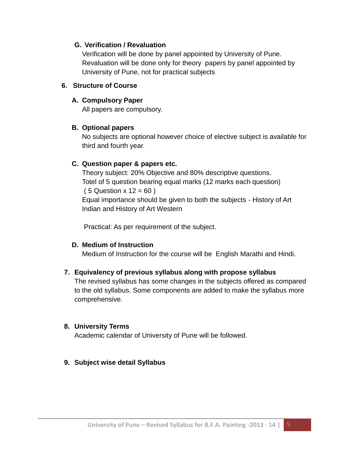#### **G. Verification / Revaluation**

Verification will be done by panel appointed by University of Pune. Revaluation will be done only for theory papers by panel appointed by University of Pune, not for practical subjects

#### **6. Structure of Course**

#### **A. Compulsory Paper**

All papers are compulsory.

#### **B. Optional papers**

No subjects are optional however choice of elective subject is available for third and fourth year.

#### **C. Question paper & papers etc.**

Theory subject: 20% Objective and 80% descriptive questions. Totel of 5 question bearing equal marks (12 marks each question)  $(5$  Question  $x$  12 = 60 ) Equal importance should be given to both the subjects - History of Art Indian and History of Art Western

Practical: As per requirement of the subject.

# **D. Medium of Instruction**

Medium of Instruction for the course will be English Marathi and Hindi.

# **7. Equivalency of previous syllabus along with propose syllabus**

The revised syllabus has some changes in the subjects offered as compared to the old syllabus. Some components are added to make the syllabus more comprehensive.

# **8. University Terms**

Academic calendar of University of Pune will be followed.

# **9. Subject wise detail Syllabus**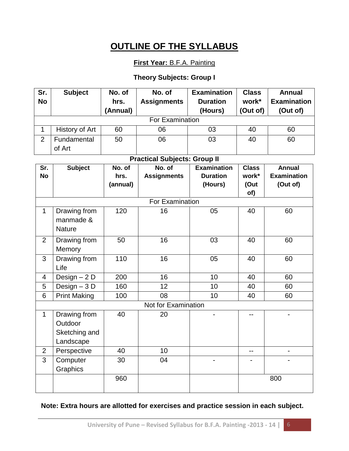# **OUTLINE OF THE SYLLABUS**

# **First Year:** B.F.A. Painting

#### **Theory Subjects: Group I**

| Sr.                                 | <b>Subject</b>      | No. of   | No. of             | <b>Examination</b> | <b>Class</b> | <b>Annual</b>      |
|-------------------------------------|---------------------|----------|--------------------|--------------------|--------------|--------------------|
| <b>No</b>                           |                     | hrs.     | <b>Assignments</b> | <b>Duration</b>    | work*        | <b>Examination</b> |
|                                     |                     | (Annual) |                    | (Hours)            | (Out of)     | (Out of)           |
| For Examination                     |                     |          |                    |                    |              |                    |
| $\mathbf{1}$                        | History of Art      | 60       | 06                 | 03                 | 40           | 60                 |
| $\overline{2}$                      | Fundamental         | 50       | 06                 | 03                 | 40           | 60                 |
|                                     | of Art              |          |                    |                    |              |                    |
| <b>Practical Subjects: Group II</b> |                     |          |                    |                    |              |                    |
| Sr.                                 | <b>Subject</b>      | No. of   | No. of             | <b>Examination</b> | <b>Class</b> | <b>Annual</b>      |
| <b>No</b>                           |                     | hrs.     | <b>Assignments</b> | <b>Duration</b>    | work*        | <b>Examination</b> |
|                                     |                     | (annual) |                    | (Hours)            | (Out         | (Out of)           |
| of)<br>For Examination              |                     |          |                    |                    |              |                    |
|                                     |                     |          |                    |                    |              |                    |
| $\mathbf{1}$                        | Drawing from        | 120      | 16                 | 05                 | 40           | 60                 |
|                                     | manmade &           |          |                    |                    |              |                    |
|                                     | <b>Nature</b>       |          |                    |                    |              |                    |
| 2                                   | Drawing from        | 50       | 16                 | 03                 | 40           | 60                 |
|                                     | Memory              |          |                    |                    |              |                    |
| 3                                   | Drawing from        | 110      | 16                 | 05                 | 40           | 60                 |
|                                     | Life                |          |                    |                    |              |                    |
| 4                                   | Design $-2$ D       | 200      | 16                 | 10                 | 40           | 60                 |
| 5                                   | Design $-3D$        | 160      | 12                 | 10                 | 40           | 60                 |
| 6                                   | <b>Print Making</b> | 100      | 08                 | 10                 | 40           | 60                 |
| Not for Examination                 |                     |          |                    |                    |              |                    |
| 1                                   | Drawing from        | 40       | 20                 |                    | $-$          |                    |
|                                     | Outdoor             |          |                    |                    |              |                    |
|                                     | Sketching and       |          |                    |                    |              |                    |
|                                     | Landscape           |          |                    |                    |              |                    |
| $\overline{2}$                      | Perspective         | 40       | 10                 |                    |              |                    |
| $\overline{3}$                      | Computer            | 30       | 04                 |                    |              |                    |
|                                     | Graphics            |          |                    |                    |              |                    |
|                                     |                     | 960      |                    |                    |              | 800                |
|                                     |                     |          |                    |                    |              |                    |

#### **Note: Extra hours are allotted for exercises and practice session in each subject.**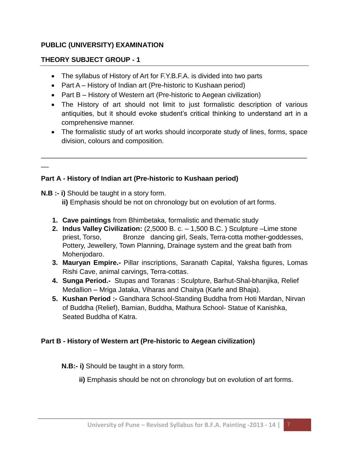#### **PUBLIC (UNIVERSITY) EXAMINATION**

#### **THEORY SUBJECT GROUP - 1**

- The syllabus of History of Art for F.Y.B.F.A. is divided into two parts
- Part A History of Indian art (Pre-historic to Kushaan period)
- Part B History of Western art (Pre-historic to Aegean civilization)
- The History of art should not limit to just formalistic description of various antiquities, but it should evoke student's critical thinking to understand art in a comprehensive manner.
- The formalistic study of art works should incorporate study of lines, forms, space division, colours and composition.

\_\_\_\_\_\_\_\_\_\_\_\_\_\_\_\_\_\_\_\_\_\_\_\_\_\_\_\_\_\_\_\_\_\_\_\_\_\_\_\_\_\_\_\_\_\_\_\_\_\_\_\_\_\_\_\_\_\_\_\_\_\_\_\_\_\_\_\_\_\_

# **Part A - History of Indian art (Pre-historic to Kushaan period)**

**N.B :- i)** Should be taught in a story form.

 $\overline{a}$ 

 **ii)** Emphasis should be not on chronology but on evolution of art forms.

- **1. Cave paintings** from Bhimbetaka, formalistic and thematic study
- **2. Indus Valley Civilization:** (2,5000 B. c. 1,500 B.C. ) Sculpture –Lime stone priest, Torso, Bronze dancing girl, Seals, Terra-cotta mother-goddesses, Pottery, Jewellery, Town Planning, Drainage system and the great bath from Mohenjodaro.
- **3. Mauryan Empire.-** Pillar inscriptions, Saranath Capital, Yaksha figures, Lomas Rishi Cave, animal carvings, Terra-cottas.
- **4. Sunga Period.-** Stupas and Toranas : Sculpture, Barhut-Shal-bhanjika, Relief Medallion – Mriga Jataka, Viharas and Chaitya (Karle and Bhaja).
- **5. Kushan Period :-** Gandhara School-Standing Buddha from Hoti Mardan, Nirvan of Buddha (Relief), Bamian, Buddha, Mathura School- Statue of Kanishka, Seated Buddha of Katra.

#### **Part B - History of Western art (Pre-historic to Aegean civilization)**

- **N.B:- i)** Should be taught in a story form.
	- **ii)** Emphasis should be not on chronology but on evolution of art forms.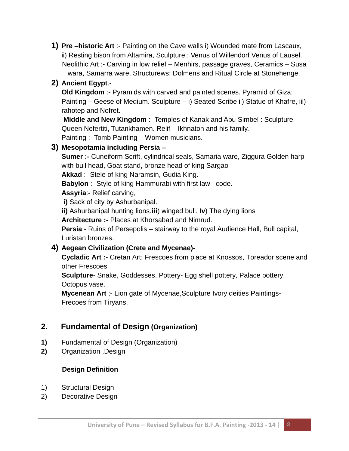**1) Pre –historic Art** :- Painting on the Cave walls i) Wounded mate from Lascaux, ii) Resting bison from Altamira, Sculpture : Venus of Willendorf Venus of Lausel. Neolithic Art :- Carving in low relief – Menhirs, passage graves, Ceramics – Susa wara, Samarra ware, Structurews: Dolmens and Ritual Circle at Stonehenge.

# **2) Ancient Egypt**.-

**Old Kingdom** :- Pyramids with carved and painted scenes. Pyramid of Giza: Painting – Geese of Medium. Sculpture – i) Seated Scribe ii) Statue of Khafre, iii) rahotep and Nofret.

**Middle and New Kingdom**: Temples of Kanak and Abu Simbel: Sculpture Queen Nefertiti, Tutankhamen. Relif – Ikhnaton and his family. Painting :- Tomb Painting – Women musicians.

# **3) Mesopotamia including Persia –**

**Sumer :-** Cuneiform Scrift, cylindrical seals, Samaria ware, Ziggura Golden harp with bull head, Goat stand, bronze head of king Sargao

**Akkad** :- Stele of king Naramsin, Gudia King.

**Babylon** :- Style of king Hammurabi with first law –code.

**Assyria**:- Relief carving,

**i)** Sack of city by Ashurbanipal.

**ii)** Ashurbanipal hunting lions.**iii**) winged bull. **Iv**) The dying lions

**Architecture :-** Places at Khorsabad and Nimrud.

**Persia**:- Ruins of Persepolis – stairway to the royal Audience Hall, Bull capital, Luristan bronzes.

# **4) Aegean Civilization (Crete and Mycenae)-**

**Cycladic Art :-** Cretan Art: Frescoes from place at Knossos, Toreador scene and other Frescoes

**Sculpture**- Snake, Goddesses, Pottery- Egg shell pottery, Palace pottery, Octopus vase.

**Mycenean Art** ;- Lion gate of Mycenae,Sculpture Ivory deities Paintings-Frecoes from Tiryans.

# **2. Fundamental of Design (Organization)**

- **1)** Fundamental of Design (Organization)
- **2)** Organization ,Design

# **Design Definition**

- 1) Structural Design
- 2) Decorative Design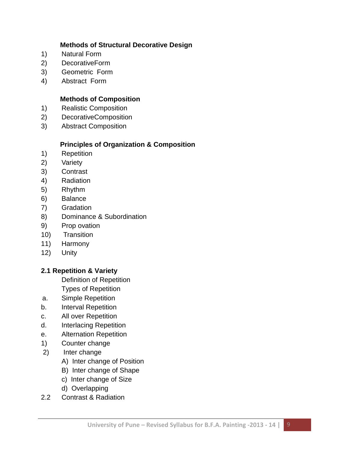#### **Methods of Structural Decorative Design**

- 1) Natural Form
- 2) DecorativeForm
- 3) Geometric Form
- 4) Abstract Form

# **Methods of Composition**

- 1) Realistic Composition
- 2) DecorativeComposition
- 3) Abstract Composition

# **Principles of Organization & Composition**

- 1) Repetition
- 2) Variety
- 3) Contrast
- 4) Radiation
- 5) Rhythm
- 6) Balance
- 7) Gradation
- 8) Dominance & Subordination
- 9) Prop ovation
- 10) Transition
- 11) Harmony
- 12) Unity

# **2.1 Repetition & Variety**

Definition of Repetition

- Types of Repetition
- a. Simple Repetition
- b. Interval Repetition
- c. All over Repetition
- d. Interlacing Repetition
- e. Alternation Repetition
- 1) Counter change
- 2) Inter change
	- A) Inter change of Position
	- B) Inter change of Shape
	- c) Inter change of Size
	- d) Overlapping
- 2.2 Contrast & Radiation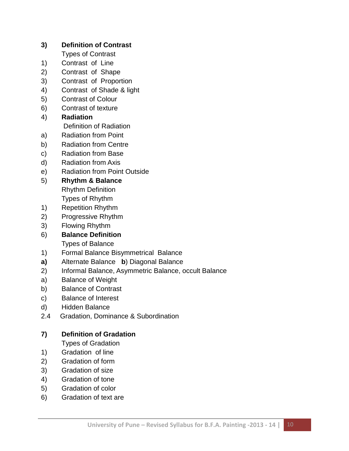# **3) Definition of Contrast**

- Types of Contrast
- 1) Contrast of Line
- 2) Contrast of Shape
- 3) Contrast of Proportion
- 4) Contrast of Shade & light
- 5) Contrast of Colour
- 6) Contrast of texture
- 4) **Radiation** Definition of Radiation
- a) Radiation from Point
- b) Radiation from Centre
- c) Radiation from Base
- d) Radiation from Axis
- e) Radiation from Point Outside
- 5) **Rhythm & Balance** Rhythm Definition

Types of Rhythm

- 1) Repetition Rhythm
- 2) Progressive Rhythm
- 3) Flowing Rhythm
- 6) **Balance Definition**

Types of Balance

- 1) Formal Balance Bisymmetrical Balance
- **a)** Alternate Balance **b**) Diagonal Balance
- 2) Informal Balance, Asymmetric Balance, occult Balance
- a) Balance of Weight
- b) Balance of Contrast
- c) Balance of Interest
- d) Hidden Balance
- 2.4 Gradation, Dominance & Subordination

# **7) Definition of Gradation**

Types of Gradation

- 1) Gradation of line
- 2) Gradation of form
- 3) Gradation of size
- 4) Gradation of tone
- 5) Gradation of color
- 6) Gradation of text are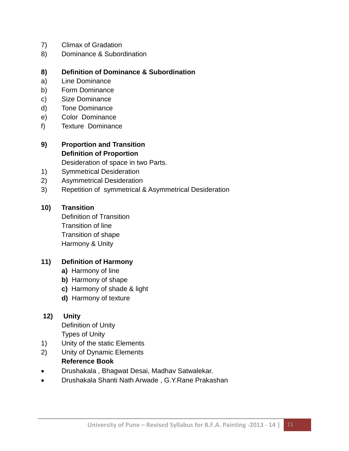- 7) Climax of Gradation
- 8) Dominance & Subordination

#### **8) Definition of Dominance & Subordination**

- a) Line Dominance
- b) Form Dominance
- c) Size Dominance
- d) Tone Dominance
- e) Color Dominance
- f) Texture Dominance

# **9) Proportion and Transition Definition of Proportion**

Desideration of space in two Parts.

- 1) Symmetrical Desideration
- 2) Asymmetrical Desideration
- 3) Repetition of symmetrical & Asymmetrical Desideration

#### **10) Transition**

Definition of Transition Transition of line Transition of shape Harmony & Unity

#### **11) Definition of Harmony**

- **a)** Harmony of line
- **b)** Harmony of shape
- **c)** Harmony of shade & light
- **d)** Harmony of texture

#### **12) Unity**

Definition of Unity Types of Unity

- 1) Unity of the static Elements
- 2) Unity of Dynamic Elements

# **Reference Book**

- Drushakala , Bhagwat Desai, Madhav Satwalekar.
- Drushakala Shanti Nath Arwade , G.Y.Rane Prakashan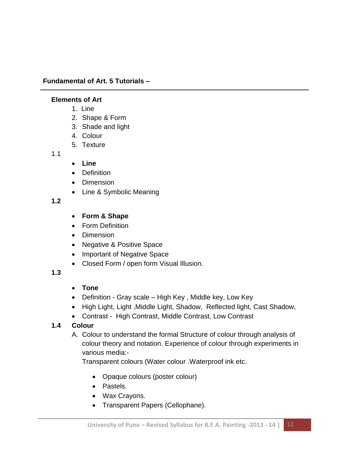#### **Fundamental of Art. 5 Tutorials –**

#### **Elements of Art**

- 1. Line
- 2. Shape & Form
- 3. Shade and light
- 4. Colour
- 5. Texture

1.1

- **Line**
- Definition
- Dimension
- Line & Symbolic Meaning

**1.2**

- **Form & Shape**
- Form Definition
- Dimension
- Negative & Positive Space
- Important of Negative Space
- Closed Form / open form Visual Illusion.

#### **1.3**

- **Tone**
- Definition Gray scale High Key , Middle key, Low Key
- High Light, Light, Middle Light, Shadow, Reflected light, Cast Shadow,
- Contrast High Contrast, Middle Contrast, Low Contrast

# **1.4 Colour**

A. Colour to understand the formal Structure of colour through analysis of colour theory and notation. Experience of colour through experiments in various media:-

Transparent colours (Water colour .Waterproof ink etc.

- Opaque colours (poster colour)
- Pastels.
- Wax Crayons.
- Transparent Papers (Cellophane).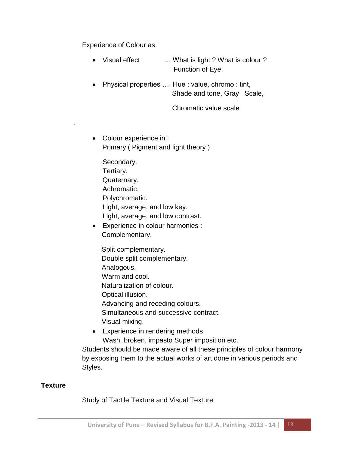Experience of Colour as.

.

- Visual effect … What is light ? What is colour ? Function of Eye.
- Physical properties …. Hue : value, chromo : tint, Shade and tone, Gray Scale,

Chromatic value scale

• Colour experience in : Primary ( Pigment and light theory )

Secondary. Tertiary. Quaternary. Achromatic. Polychromatic. Light, average, and low key. Light, average, and low contrast.

 Experience in colour harmonies : Complementary.

Split complementary. Double split complementary. Analogous. Warm and cool. Naturalization of colour. Optical illusion. Advancing and receding colours. Simultaneous and successive contract. Visual mixing.

• Experience in rendering methods Wash, broken, impasto Super imposition etc.

Students should be made aware of all these principles of colour harmony by exposing them to the actual works of art done in various periods and Styles.

#### **Texture**

Study of Tactile Texture and Visual Texture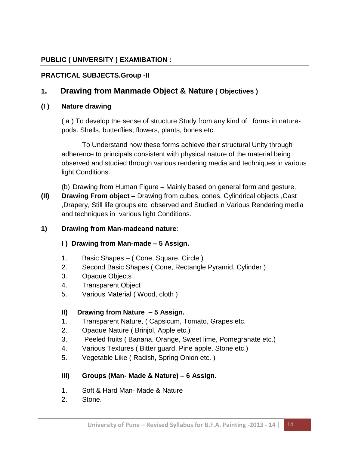# **PUBLIC ( UNIVERSITY ) EXAMIBATION :**

# **PRACTICAL SUBJECTS.Group -II**

# **1. Drawing from Manmade Object & Nature ( Objectives )**

#### **(I ) Nature drawing**

( a ) To develop the sense of structure Study from any kind of forms in naturepods. Shells, butterflies, flowers, plants, bones etc.

To Understand how these forms achieve their structural Unity through adherence to principals consistent with physical nature of the material being observed and studied through various rendering media and techniques in various light Conditions.

(b) Drawing from Human Figure – Mainly based on general form and gesture.

**(II) Drawing From object –** Drawing from cubes, cones, Cylindrical objects ,Cast ,Drapery, Still life groups etc. observed and Studied in Various Rendering media and techniques in various light Conditions.

#### **1) Drawing from Man-madeand nature**:

#### **I ) Drawing from Man-made – 5 Assign.**

- 1. Basic Shapes ( Cone, Square, Circle )
- 2. Second Basic Shapes ( Cone, Rectangle Pyramid, Cylinder )
- 3. Opaque Objects
- 4. Transparent Object
- 5. Various Material ( Wood, cloth )

#### **II) Drawing from Nature – 5 Assign.**

- 1. Transparent Nature, ( Capsicum, Tomato, Grapes etc.
- 2. Opaque Nature ( Brinjol, Apple etc.)
- 3. Peeled fruits ( Banana, Orange, Sweet lime, Pomegranate etc.)
- 4. Various Textures ( Bitter guard, Pine apple, Stone etc.)
- 5. Vegetable Like ( Radish, Spring Onion etc. )

# **III) Groups (Man- Made & Nature) – 6 Assign.**

- 1. Soft & Hard Man- Made & Nature
- 2. Stone.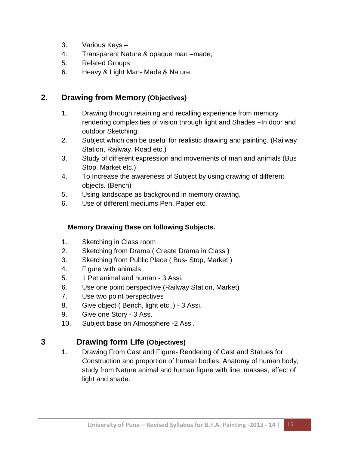- 3. Various Keys –
- 4. Transparent Nature & opaque man –made,
- 5. Related Groups
- 6. Heavy & Light Man- Made & Nature

# **2. Drawing from Memory (Objectives)**

- 1. Drawing through retaining and recalling experience from memory rendering complexities of vision through light and Shades –In door and outdoor Sketching.
- 2. Subject which can be useful for realistic drawing and painting. (Railway Station, Railway, Road etc.)
- 3. Study of different expression and movements of man and animals (Bus Stop, Market etc.)
- 4. To Increase the awareness of Subject by using drawing of different objects. (Bench)
- 5. Using landscape as background in memory drawing.
- 6. Use of different mediums Pen, Paper etc.

#### **Memory Drawing Base on following Subjects.**

- 1. Sketching in Class room
- 2. Sketching from Drama ( Create Drama in Class )
- 3. Sketching from Public Place ( Bus- Stop, Market )
- 4. Figure with animals
- 5. 1 Pet animal and human 3 Assi.
- 6. Use one point perspective (Railway Station, Market)
- 7. Use two point perspectives
- 8. Give object ( Bench, light etc.,) 3 Assi.
- 9. Give one Story 3 Ass.
- 10. Subject base on Atmosphere -2 Assi.

# **3 Drawing form Life (Objectives)**

1. Drawing From Cast and Figure- Rendering of Cast and Statues for Construction and proportion of human bodies, Anatomy of human body, study from Nature animal and human figure with line, masses, effect of light and shade.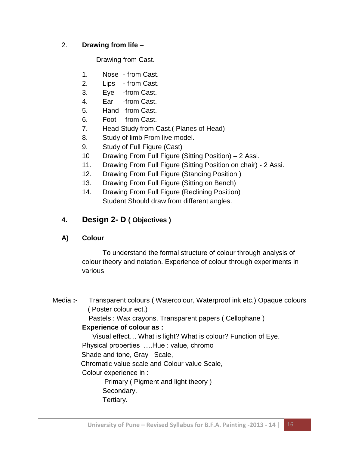#### 2. **Drawing from life** –

Drawing from Cast.

- 1. Nose from Cast.
- 2. Lips from Cast.
- 3. Eye -from Cast.
- 4. Ear -from Cast.
- 5. Hand -from Cast.
- 6. Foot -from Cast.
- 7. Head Study from Cast.( Planes of Head)
- 8. Study of limb From live model.
- 9. Study of Full Figure (Cast)
- 10 Drawing From Full Figure (Sitting Position) 2 Assi.
- 11. Drawing From Full Figure (Sitting Position on chair) 2 Assi.
- 12. Drawing From Full Figure (Standing Position )
- 13. Drawing From Full Figure (Sitting on Bench)
- 14. Drawing From Full Figure (Reclining Position) Student Should draw from different angles.

# **4. Design 2- D ( Objectives )**

#### **A) Colour**

To understand the formal structure of colour through analysis of colour theory and notation. Experience of colour through experiments in various

Media **:-** Transparent colours ( Watercolour, Waterproof ink etc.) Opaque colours ( Poster colour ect.) Pastels : Wax crayons. Transparent papers ( Cellophane ) **Experience of colour as :** Visual effect… What is light? What is colour? Function of Eye. Physical properties ….Hue : value, chromo Shade and tone, Gray Scale, Chromatic value scale and Colour value Scale, Colour experience in : Primary ( Pigment and light theory ) Secondary. Tertiary.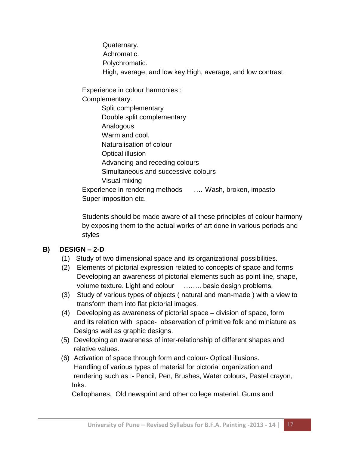Quaternary. Achromatic. Polychromatic. High, average, and low key.High, average, and low contrast.

Experience in colour harmonies : Complementary.

Split complementary Double split complementary Analogous Warm and cool. Naturalisation of colour Optical illusion Advancing and receding colours Simultaneous and successive colours Visual mixing Experience in rendering methods …. Wash, broken, impasto Super imposition etc.

Students should be made aware of all these principles of colour harmony by exposing them to the actual works of art done in various periods and styles

# **B) DESIGN – 2-D**

- (1) Study of two dimensional space and its organizational possibilities.
- (2) Elements of pictorial expression related to concepts of space and forms Developing an awareness of pictorial elements such as point line, shape, volume texture. Light and colour …….. basic design problems.
- (3) Study of various types of objects ( natural and man-made ) with a view to transform them into flat pictorial images.
- (4) Developing as awareness of pictorial space division of space, form and its relation with space- observation of primitive folk and miniature as Designs well as graphic designs.
- (5) Developing an awareness of inter-relationship of different shapes and relative values.
- (6) Activation of space through form and colour- Optical illusions. Handling of various types of material for pictorial organization and rendering such as :- Pencil, Pen, Brushes, Water colours, Pastel crayon, Inks.

Cellophanes, Old newsprint and other college material. Gums and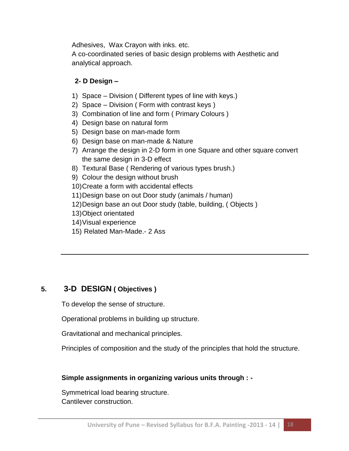Adhesives, Wax Crayon with inks. etc.

A co-coordinated series of basic design problems with Aesthetic and analytical approach.

#### **2- D Design –**

- 1) Space Division ( Different types of line with keys.)
- 2) Space Division ( Form with contrast keys )
- 3) Combination of line and form ( Primary Colours )
- 4) Design base on natural form
- 5) Design base on man-made form
- 6) Design base on man-made & Nature
- 7) Arrange the design in 2-D form in one Square and other square convert the same design in 3-D effect
- 8) Textural Base ( Rendering of various types brush.)
- 9) Colour the design without brush
- 10)Create a form with accidental effects
- 11)Design base on out Door study (animals / human)
- 12)Design base an out Door study (table, building, ( Objects )
- 13)Object orientated
- 14)Visual experience
- 15) Related Man-Made.- 2 Ass

# **5. 3-D DESIGN ( Objectives )**

To develop the sense of structure.

Operational problems in building up structure.

Gravitational and mechanical principles.

Principles of composition and the study of the principles that hold the structure.

#### **Simple assignments in organizing various units through : -**

Symmetrical load bearing structure. Cantilever construction.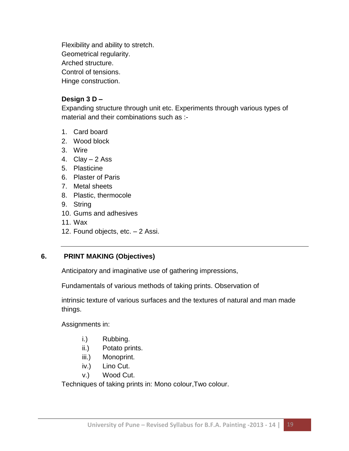Flexibility and ability to stretch. Geometrical regularity. Arched structure.

Control of tensions.

Hinge construction.

#### **Design 3 D –**

Expanding structure through unit etc. Experiments through various types of material and their combinations such as :-

- 1. Card board
- 2. Wood block
- 3. Wire
- 4.  $Clay 2 Ass$
- 5. Plasticine
- 6. Plaster of Paris
- 7. Metal sheets
- 8. Plastic, thermocole
- 9. String
- 10. Gums and adhesives
- 11. Wax
- 12. Found objects, etc. 2 Assi.

# **6. PRINT MAKING (Objectives)**

Anticipatory and imaginative use of gathering impressions,

Fundamentals of various methods of taking prints. Observation of

intrinsic texture of various surfaces and the textures of natural and man made things.

Assignments in:

- i.) Rubbing.
- ii.) Potato prints.
- iii.) Monoprint.
- iv.) Lino Cut.
- v.) Wood Cut.

Techniques of taking prints in: Mono colour,Two colour.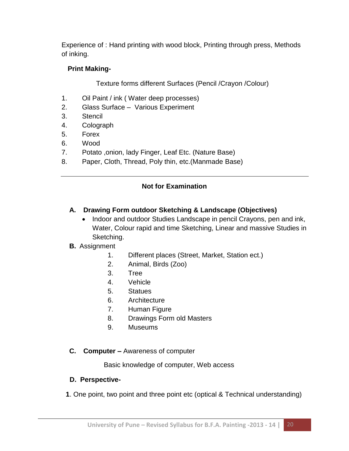Experience of : Hand printing with wood block, Printing through press, Methods of inking.

#### **Print Making-**

Texture forms different Surfaces (Pencil /Crayon /Colour)

- 1. Oil Paint / ink ( Water deep processes)
- 2. Glass Surface Various Experiment
- 3. Stencil
- 4. Colograph
- 5. Forex
- 6. Wood
- 7. Potato ,onion, lady Finger, Leaf Etc. (Nature Base)
- 8. Paper, Cloth, Thread, Poly thin, etc.(Manmade Base)

# **Not for Examination**

# **A. Drawing Form outdoor Sketching & Landscape (Objectives)**

• Indoor and outdoor Studies Landscape in pencil Crayons, pen and ink, Water, Colour rapid and time Sketching, Linear and massive Studies in Sketching.

# **B.** Assignment

- 1. Different places (Street, Market, Station ect.)
- 2. Animal, Birds (Zoo)
- 3. Tree
- 4. Vehicle
- 5. Statues
- 6. Architecture
- 7. Human Figure
- 8. Drawings Form old Masters
- 9. Museums

# **C. Computer –** Awareness of computer

Basic knowledge of computer, Web access

#### **D. Perspective-**

 **1**. One point, two point and three point etc (optical & Technical understanding)